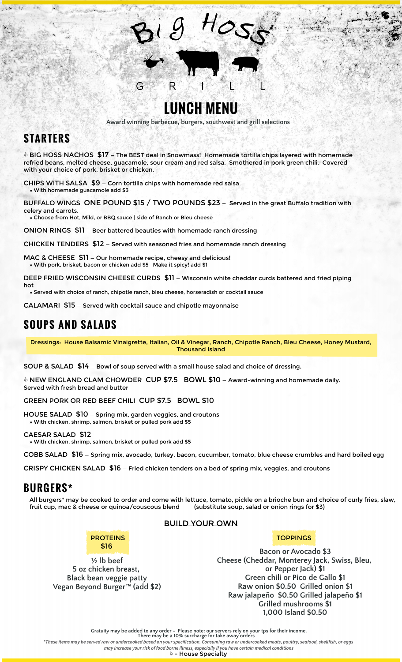

R

**Award winning barbecue, burgers, southwest and grill selections**

### **S TARTERS**

hot

 $\bullet$  BIG HOSS NACHOS  $$17$  – The BEST deal in Snowmass! Homemade tortilla chips layered with homemade refried beans, melted cheese, guacamole, sour cream and red salsa. Smothered in pork green chili. Covered with your choice of pork, brisket or chicken.

CHIPS WITH SALSA \$9 — Corn tortilla chips with homemade red salsa » With homemade guacamole add \$3

G

BUFFALO WINGS ONE POUND \$15 / TWO POUNDS \$23 — Served in the great Buffalo tradition with celery and carrots.

» Choose from Hot, Mild, or BBQ sauce | side of Ranch or Bleu cheese

ONION RINGS \$11 — Beer battered beauties with homemade ranch dressing

CHICKEN TENDERS \$12 — Served with seasoned fries and homemade ranch dressing

MAC & CHEESE \$11 - Our homemade recipe, cheesy and delicious! » With pork, brisket, bacon or chicken add \$5 Make it spicy! add \$1

DEEP FRIED WISCONSIN CHEESE CURDS \$11 - Wisconsin white cheddar curds battered and fried piping

» Served with choice of ranch, chipotle ranch, bleu cheese, horseradish or cocktail sauce

CALAMARI \$15 — Served with cocktail sauce and chipotle mayonnaise

## **SOUPS AND SALADS**

Dressings: House Balsamic Vinaigrette, Italian, Oil & Vinegar, Ranch, Chipotle Ranch, Bleu Cheese, Honey Mustard, Thousand Island

SOUP & SALAD \$14 — Bowl of soup served with a small house salad and choice of dressing.

 $\Diamond$  NEW ENGLAND CLAM CHOWDER CUP \$7.5 BOWL \$10 – Award-winning and homemade daily. Served with fresh bread and butter

GREEN PORK OR RED BEEF CHILI CUP \$7.5 BOWL \$10

HOUSE SALAD \$10 — Spring mix, garden veggies, and croutons » With chicken, shrimp, salmon, brisket or pulled pork add \$5

CAESAR SALAD \$12

» With chicken, shrimp, salmon, brisket or pulled pork add \$5

COBB SALAD \$16 — Spring mix, avocado, turkey, bacon, cucumber, tomato, blue cheese crumbles and hard boiled egg

CRISPY CHICKEN SALAD \$16 — Fried chicken tenders on a bed of spring mix, veggies, and croutons

### **BURGERS\***

All burgers\* may be cooked to order and come with lettuce, tomato, pickle on a brioche bun and choice of curly fries, slaw, fruit cup, mac & cheese or quinoa/couscous blend (substitute soup, salad or onion rings for \$3)

Build Your Own



#### **½ lb beef 5 oz chicken breast, Black bean veggie patty Vegan Beyond Burger™ (add \$2)**

**TOPPINGS** 

**Bacon or Avocado \$3 Cheese (Cheddar, Monterey Jack, Swiss, Bleu, or Pepper Jack) \$1 Green chili or Pico de Gallo \$1 Raw onion \$0.50 Grilled onion \$1 Raw jalapeño \$0.50 Grilled jalapeño \$1 Grilled mushrooms \$1 1,000 Island \$0.50**

**Gratuity may be added to any order - Please note: our servers rely on your tps for their income. There may be a 10% surcharge for take away orders**

*\*These items may be served raw or undercooked based on your specification. Consuming raw or undercooked meats, poultry, seafood, shellfish, or eggs may increase your risk of food borne illness, especially if you have certain medical conditions*

 $\mathbf{\hat{\Leftrightarrow}}$  - House Specialty